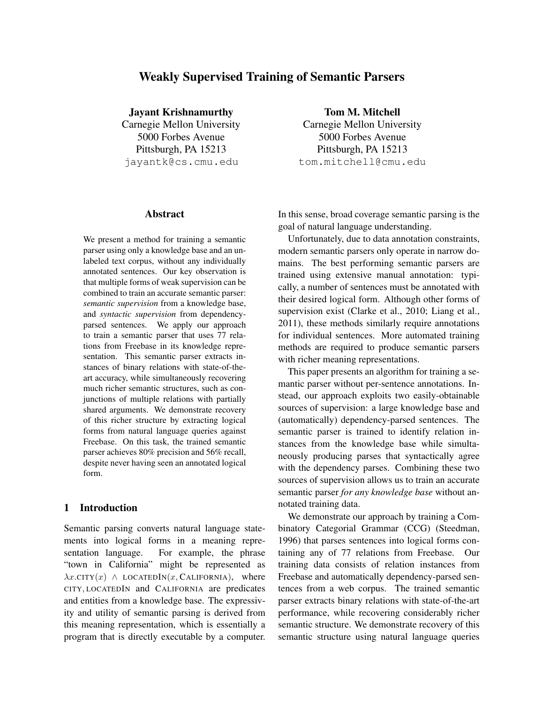# Weakly Supervised Training of Semantic Parsers

Jayant Krishnamurthy

Carnegie Mellon University 5000 Forbes Avenue Pittsburgh, PA 15213 jayantk@cs.cmu.edu

Abstract

We present a method for training a semantic parser using only a knowledge base and an unlabeled text corpus, without any individually annotated sentences. Our key observation is that multiple forms of weak supervision can be combined to train an accurate semantic parser: *semantic supervision* from a knowledge base, and *syntactic supervision* from dependencyparsed sentences. We apply our approach to train a semantic parser that uses 77 relations from Freebase in its knowledge representation. This semantic parser extracts instances of binary relations with state-of-theart accuracy, while simultaneously recovering much richer semantic structures, such as conjunctions of multiple relations with partially shared arguments. We demonstrate recovery of this richer structure by extracting logical forms from natural language queries against Freebase. On this task, the trained semantic parser achieves 80% precision and 56% recall, despite never having seen an annotated logical form.

## 1 Introduction

Semantic parsing converts natural language statements into logical forms in a meaning representation language. For example, the phrase "town in California" might be represented as  $\lambda x$ .CITY $(x)$   $\wedge$  LOCATEDIN $(x,$  CALIFORNIA), where CITY, LOCATEDIN and CALIFORNIA are predicates and entities from a knowledge base. The expressivity and utility of semantic parsing is derived from this meaning representation, which is essentially a program that is directly executable by a computer.

Tom M. Mitchell Carnegie Mellon University 5000 Forbes Avenue Pittsburgh, PA 15213 tom.mitchell@cmu.edu

In this sense, broad coverage semantic parsing is the goal of natural language understanding.

Unfortunately, due to data annotation constraints, modern semantic parsers only operate in narrow domains. The best performing semantic parsers are trained using extensive manual annotation: typically, a number of sentences must be annotated with their desired logical form. Although other forms of supervision exist (Clarke et al., 2010; Liang et al., 2011), these methods similarly require annotations for individual sentences. More automated training methods are required to produce semantic parsers with richer meaning representations.

This paper presents an algorithm for training a semantic parser without per-sentence annotations. Instead, our approach exploits two easily-obtainable sources of supervision: a large knowledge base and (automatically) dependency-parsed sentences. The semantic parser is trained to identify relation instances from the knowledge base while simultaneously producing parses that syntactically agree with the dependency parses. Combining these two sources of supervision allows us to train an accurate semantic parser *for any knowledge base* without annotated training data.

We demonstrate our approach by training a Combinatory Categorial Grammar (CCG) (Steedman, 1996) that parses sentences into logical forms containing any of 77 relations from Freebase. Our training data consists of relation instances from Freebase and automatically dependency-parsed sentences from a web corpus. The trained semantic parser extracts binary relations with state-of-the-art performance, while recovering considerably richer semantic structure. We demonstrate recovery of this semantic structure using natural language queries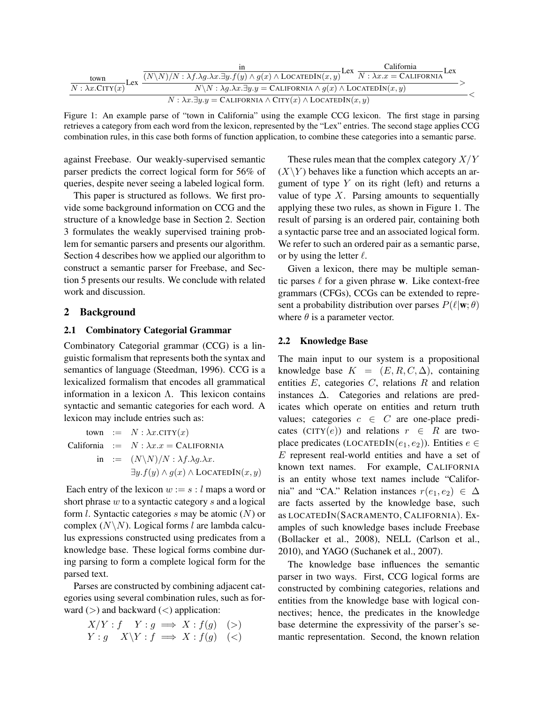|                                                                                                       |                                                                                                                                                               | California<br>Lex<br>Lex. |  |
|-------------------------------------------------------------------------------------------------------|---------------------------------------------------------------------------------------------------------------------------------------------------------------|---------------------------|--|
| town<br>∙Lex                                                                                          | $(N\setminus N)/N : \lambda f.\lambda g.\lambda x.\exists y.f(y) \wedge g(x) \wedge LoCATEDIN(x,y))$ <sup>LCA</sup> $\overline{N : \lambda x.x = CALIFORNIA}$ |                           |  |
| $N : \lambda x$ .CITY $(x)$                                                                           | $N\backslash N: \lambda g.\lambda x.\exists y.y = \text{CALIFORNIA} \wedge g(x) \wedge \text{LOCATEDIN}(x,y)$                                                 |                           |  |
| $N : \lambda x. \exists y. y = \text{CALIFORNIA} \wedge \text{CITY}(x) \wedge \text{LOCALFDIN}(x, y)$ |                                                                                                                                                               |                           |  |

Figure 1: An example parse of "town in California" using the example CCG lexicon. The first stage in parsing retrieves a category from each word from the lexicon, represented by the "Lex" entries. The second stage applies CCG combination rules, in this case both forms of function application, to combine these categories into a semantic parse.

against Freebase. Our weakly-supervised semantic parser predicts the correct logical form for 56% of queries, despite never seeing a labeled logical form.

This paper is structured as follows. We first provide some background information on CCG and the structure of a knowledge base in Section 2. Section 3 formulates the weakly supervised training problem for semantic parsers and presents our algorithm. Section 4 describes how we applied our algorithm to construct a semantic parser for Freebase, and Section 5 presents our results. We conclude with related work and discussion.

## 2 Background

### 2.1 Combinatory Categorial Grammar

Combinatory Categorial grammar (CCG) is a linguistic formalism that represents both the syntax and semantics of language (Steedman, 1996). CCG is a lexicalized formalism that encodes all grammatical information in a lexicon Λ. This lexicon contains syntactic and semantic categories for each word. A lexicon may include entries such as:

town :=  $N : \lambda x$ .CITY $(x)$ California :=  $N : \lambda x.x = CALIFORNIA$ in :=  $(N\Upsilon N)/N : \lambda f.\lambda g.\lambda x$ .  $\exists y.f(y) \land g(x) \land$  LOCATEDIN $(x, y)$ 

Each entry of the lexicon  $w := s : l$  maps a word or short phrase  $w$  to a syntactic category  $s$  and a logical form  $l$ . Syntactic categories  $s$  may be atomic  $(N)$  or complex  $(N\backslash N)$ . Logical forms l are lambda calculus expressions constructed using predicates from a knowledge base. These logical forms combine during parsing to form a complete logical form for the parsed text.

Parses are constructed by combining adjacent categories using several combination rules, such as forward  $(>)$  and backward  $($  application:

$$
X/Y: f Y: g \implies X: f(g) \quad (>)
$$
\n
$$
Y: g X \setminus Y: f \implies X: f(g) \quad (<)
$$

These rules mean that the complex category  $X/Y$  $(X\Y)$  behaves like a function which accepts an argument of type  $Y$  on its right (left) and returns a value of type  $X$ . Parsing amounts to sequentially applying these two rules, as shown in Figure 1. The result of parsing is an ordered pair, containing both a syntactic parse tree and an associated logical form. We refer to such an ordered pair as a semantic parse, or by using the letter  $\ell$ .

Given a lexicon, there may be multiple semantic parses  $\ell$  for a given phrase w. Like context-free grammars (CFGs), CCGs can be extended to represent a probability distribution over parses  $P(\ell|\mathbf{w}; \theta)$ where  $\theta$  is a parameter vector.

## 2.2 Knowledge Base

The main input to our system is a propositional knowledge base  $K = (E, R, C, \Delta)$ , containing entities  $E$ , categories  $C$ , relations  $R$  and relation instances ∆. Categories and relations are predicates which operate on entities and return truth values; categories  $c \in C$  are one-place predicates (CITY(e)) and relations  $r \in R$  are twoplace predicates (LOCATEDIN $(e_1, e_2)$ ). Entities  $e \in$ E represent real-world entities and have a set of known text names. For example, CALIFORNIA is an entity whose text names include "California" and "CA." Relation instances  $r(e_1, e_2) \in \Delta$ are facts asserted by the knowledge base, such as LOCATEDIN(SACRAMENTO, CALIFORNIA). Examples of such knowledge bases include Freebase (Bollacker et al., 2008), NELL (Carlson et al., 2010), and YAGO (Suchanek et al., 2007).

The knowledge base influences the semantic parser in two ways. First, CCG logical forms are constructed by combining categories, relations and entities from the knowledge base with logical connectives; hence, the predicates in the knowledge base determine the expressivity of the parser's semantic representation. Second, the known relation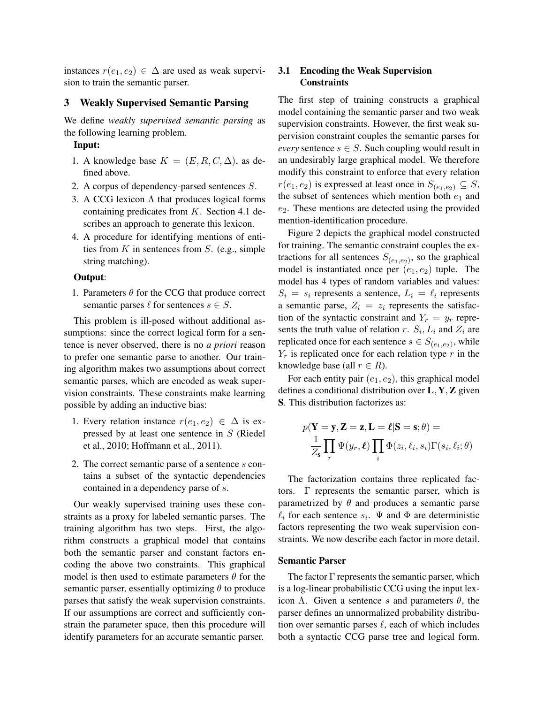instances  $r(e_1, e_2) \in \Delta$  are used as weak supervision to train the semantic parser.

#### 3 Weakly Supervised Semantic Parsing

We define *weakly supervised semantic parsing* as the following learning problem.

### Input:

- 1. A knowledge base  $K = (E, R, C, \Delta)$ , as defined above.
- 2. A corpus of dependency-parsed sentences S.
- 3. A CCG lexicon  $\Lambda$  that produces logical forms containing predicates from K. Section 4.1 describes an approach to generate this lexicon.
- 4. A procedure for identifying mentions of entities from  $K$  in sentences from  $S$ . (e.g., simple string matching).

#### Output:

1. Parameters  $\theta$  for the CCG that produce correct semantic parses  $\ell$  for sentences  $s \in S$ .

This problem is ill-posed without additional assumptions: since the correct logical form for a sentence is never observed, there is no *a priori* reason to prefer one semantic parse to another. Our training algorithm makes two assumptions about correct semantic parses, which are encoded as weak supervision constraints. These constraints make learning possible by adding an inductive bias:

- 1. Every relation instance  $r(e_1, e_2) \in \Delta$  is expressed by at least one sentence in S (Riedel et al., 2010; Hoffmann et al., 2011).
- 2. The correct semantic parse of a sentence s contains a subset of the syntactic dependencies contained in a dependency parse of s.

Our weakly supervised training uses these constraints as a proxy for labeled semantic parses. The training algorithm has two steps. First, the algorithm constructs a graphical model that contains both the semantic parser and constant factors encoding the above two constraints. This graphical model is then used to estimate parameters  $\theta$  for the semantic parser, essentially optimizing  $\theta$  to produce parses that satisfy the weak supervision constraints. If our assumptions are correct and sufficiently constrain the parameter space, then this procedure will identify parameters for an accurate semantic parser.

## 3.1 Encoding the Weak Supervision **Constraints**

The first step of training constructs a graphical model containing the semantic parser and two weak supervision constraints. However, the first weak supervision constraint couples the semantic parses for *every* sentence  $s \in S$ . Such coupling would result in an undesirably large graphical model. We therefore modify this constraint to enforce that every relation  $r(e_1, e_2)$  is expressed at least once in  $S_{(e_1, e_2)} \subseteq S$ , the subset of sentences which mention both  $e_1$  and  $e_2$ . These mentions are detected using the provided mention-identification procedure.

Figure 2 depicts the graphical model constructed for training. The semantic constraint couples the extractions for all sentences  $S_{(e_1,e_2)}$ , so the graphical model is instantiated once per  $(e_1, e_2)$  tuple. The model has 4 types of random variables and values:  $S_i = s_i$  represents a sentence,  $L_i = \ell_i$  represents a semantic parse,  $Z_i = z_i$  represents the satisfaction of the syntactic constraint and  $Y_r = y_r$  represents the truth value of relation r.  $S_i$ ,  $L_i$  and  $Z_i$  are replicated once for each sentence  $s \in S_{(e_1,e_2)}$ , while  $Y_r$  is replicated once for each relation type r in the knowledge base (all  $r \in R$ ).

For each entity pair  $(e_1, e_2)$ , this graphical model defines a conditional distribution over  $L, Y, Z$  given S. This distribution factorizes as:

$$
p(\mathbf{Y} = \mathbf{y}, \mathbf{Z} = \mathbf{z}, \mathbf{L} = \boldsymbol{\ell} | \mathbf{S} = \mathbf{s}; \theta) =
$$

$$
\frac{1}{Z_{\mathbf{s}}} \prod_{r} \Psi(y_r, \boldsymbol{\ell}) \prod_{i} \Phi(z_i, \ell_i, s_i) \Gamma(s_i, \ell_i; \theta)
$$

The factorization contains three replicated factors. Γ represents the semantic parser, which is parametrized by  $\theta$  and produces a semantic parse  $\ell_i$  for each sentence  $s_i$ .  $\Psi$  and  $\Phi$  are deterministic factors representing the two weak supervision constraints. We now describe each factor in more detail.

#### Semantic Parser

The factor  $\Gamma$  represents the semantic parser, which is a log-linear probabilistic CCG using the input lexicon Λ. Given a sentence s and parameters  $θ$ , the parser defines an unnormalized probability distribution over semantic parses  $\ell$ , each of which includes both a syntactic CCG parse tree and logical form.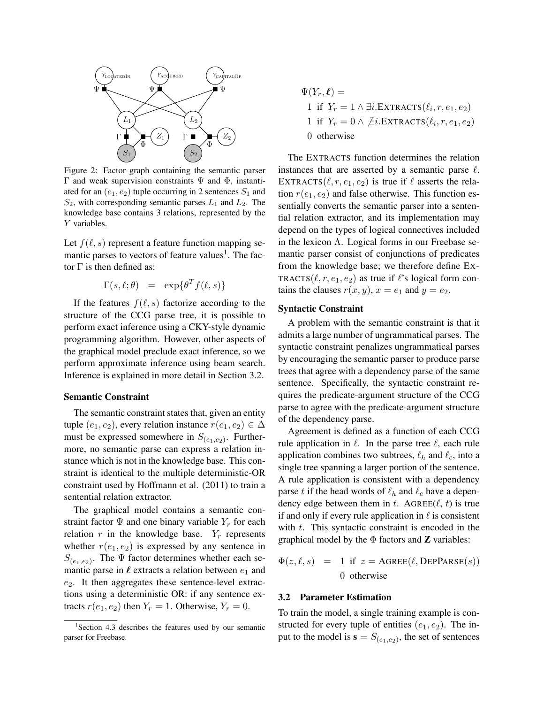

Figure 2: Factor graph containing the semantic parser Γ and weak supervision constraints  $Ψ$  and  $Φ$ , instantiated for an  $(e_1, e_2)$  tuple occurring in 2 sentences  $S_1$  and  $S_2$ , with corresponding semantic parses  $L_1$  and  $L_2$ . The knowledge base contains 3 relations, represented by the Y variables.

Let  $f(\ell, s)$  represent a feature function mapping semantic parses to vectors of feature values<sup>1</sup>. The factor  $\Gamma$  is then defined as:

$$
\Gamma(s,\ell;\theta) = \exp\{\theta^T f(\ell,s)\}
$$

If the features  $f(\ell, s)$  factorize according to the structure of the CCG parse tree, it is possible to perform exact inference using a CKY-style dynamic programming algorithm. However, other aspects of the graphical model preclude exact inference, so we perform approximate inference using beam search. Inference is explained in more detail in Section 3.2.

#### Semantic Constraint

The semantic constraint states that, given an entity tuple  $(e_1, e_2)$ , every relation instance  $r(e_1, e_2) \in \Delta$ must be expressed somewhere in  $S_{(e_1,e_2)}$ . Furthermore, no semantic parse can express a relation instance which is not in the knowledge base. This constraint is identical to the multiple deterministic-OR constraint used by Hoffmann et al. (2011) to train a sentential relation extractor.

The graphical model contains a semantic constraint factor  $\Psi$  and one binary variable  $Y_r$  for each relation  $r$  in the knowledge base.  $Y_r$  represents whether  $r(e_1, e_2)$  is expressed by any sentence in  $S_{(e_1,e_2)}$ . The  $\Psi$  factor determines whether each semantic parse in  $\ell$  extracts a relation between  $e_1$  and  $e_2$ . It then aggregates these sentence-level extractions using a deterministic OR: if any sentence extracts  $r(e_1, e_2)$  then  $Y_r = 1$ . Otherwise,  $Y_r = 0$ .

 $\Psi(Y_r, \ell) =$ 1 if  $Y_r = 1 \wedge \exists i$ .EXTRACTS $(\ell_i, r, e_1, e_2)$ 1 if  $Y_r = 0 \wedge \overline{\beta}$ *i*.EXTRACTS $(\ell_i, r, e_1, e_2)$ 0 otherwise

The EXTRACTS function determines the relation instances that are asserted by a semantic parse  $\ell$ . EXTRACTS( $\ell, r, e_1, e_2$ ) is true if  $\ell$  asserts the relation  $r(e_1, e_2)$  and false otherwise. This function essentially converts the semantic parser into a sentential relation extractor, and its implementation may depend on the types of logical connectives included in the lexicon Λ. Logical forms in our Freebase semantic parser consist of conjunctions of predicates from the knowledge base; we therefore define EX-TRACTS( $\ell, r, e_1, e_2$ ) as true if  $\ell$ 's logical form contains the clauses  $r(x, y)$ ,  $x = e_1$  and  $y = e_2$ .

## Syntactic Constraint

A problem with the semantic constraint is that it admits a large number of ungrammatical parses. The syntactic constraint penalizes ungrammatical parses by encouraging the semantic parser to produce parse trees that agree with a dependency parse of the same sentence. Specifically, the syntactic constraint requires the predicate-argument structure of the CCG parse to agree with the predicate-argument structure of the dependency parse.

Agreement is defined as a function of each CCG rule application in  $\ell$ . In the parse tree  $\ell$ , each rule application combines two subtrees,  $\ell_h$  and  $\ell_c$ , into a single tree spanning a larger portion of the sentence. A rule application is consistent with a dependency parse t if the head words of  $\ell_h$  and  $\ell_c$  have a dependency edge between them in t. AGREE( $\ell$ , t) is true if and only if every rule application in  $\ell$  is consistent with  $t$ . This syntactic constraint is encoded in the graphical model by the  $\Phi$  factors and **Z** variables:

$$
\Phi(z, \ell, s) = 1 \text{ if } z = \text{AGREE}(\ell, \text{DEPPARSE}(s))
$$
  
0 otherwise

#### 3.2 Parameter Estimation

To train the model, a single training example is constructed for every tuple of entities  $(e_1, e_2)$ . The input to the model is  $\mathbf{s} = S_{(e_1,e_2)}$ , the set of sentences

<sup>&</sup>lt;sup>1</sup>Section 4.3 describes the features used by our semantic parser for Freebase.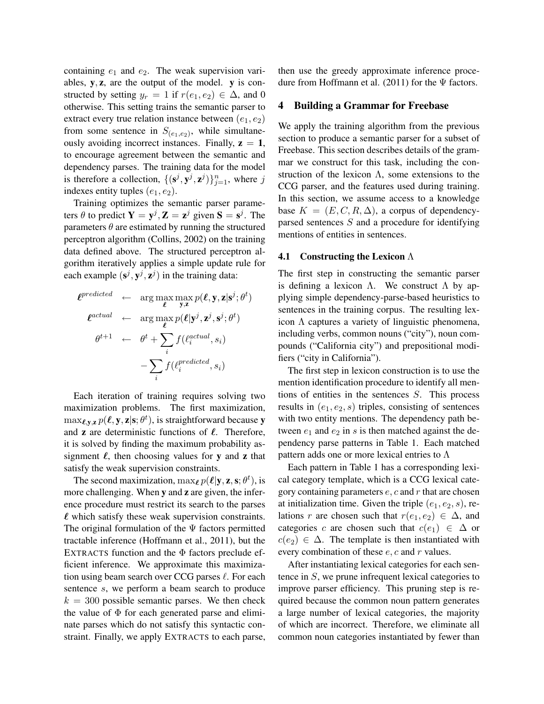containing  $e_1$  and  $e_2$ . The weak supervision variables,  $y$ ,  $z$ , are the output of the model.  $y$  is constructed by setting  $y_r = 1$  if  $r(e_1, e_2) \in \Delta$ , and 0 otherwise. This setting trains the semantic parser to extract every true relation instance between  $(e_1, e_2)$ from some sentence in  $S_{(e_1,e_2)}$ , while simultaneously avoiding incorrect instances. Finally,  $z = 1$ , to encourage agreement between the semantic and dependency parses. The training data for the model is therefore a collection,  $\{(\mathbf{s}^j, \mathbf{y}^j, \mathbf{z}^j)\}_{j=1}^n$ , where j indexes entity tuples  $(e_1, e_2)$ .

Training optimizes the semantic parser parameters  $\theta$  to predict  $Y = y^j$ ,  $Z = z^j$  given  $S = s^j$ . The parameters  $\theta$  are estimated by running the structured perceptron algorithm (Collins, 2002) on the training data defined above. The structured perceptron algorithm iteratively applies a simple update rule for each example  $(s^j, y^j, z^j)$  in the training data:

$$
\ell^{predicted} \leftarrow \arg \max_{\ell} \max_{\mathbf{y}, \mathbf{z}} p(\ell, \mathbf{y}, \mathbf{z} | \mathbf{s}^j; \theta^t)
$$
\n
$$
\ell^{actual} \leftarrow \arg \max_{\ell} p(\ell | \mathbf{y}^j, \mathbf{z}^j, \mathbf{s}^j; \theta^t)
$$
\n
$$
\theta^{t+1} \leftarrow \theta^t + \sum_i f(\ell_i^{actual}, s_i)
$$
\n
$$
- \sum_i f(\ell_i^{predicted}, s_i)
$$

Each iteration of training requires solving two maximization problems. The first maximization,  $\max_{\ell, \mathbf{y}, \mathbf{z}} p(\ell, \mathbf{y}, \mathbf{z} | \mathbf{s}; \theta^t)$ , is straightforward because y and  $\bf{z}$  are deterministic functions of  $\ell$ . Therefore, it is solved by finding the maximum probability assignment  $\ell$ , then choosing values for y and z that satisfy the weak supervision constraints.

The second maximization,  $\max_{\ell} p(\ell | \mathbf{y}, \mathbf{z}, \mathbf{s}; \theta^t)$ , is more challenging. When y and z are given, the inference procedure must restrict its search to the parses  $\ell$  which satisfy these weak supervision constraints. The original formulation of the  $\Psi$  factors permitted tractable inference (Hoffmann et al., 2011), but the EXTRACTS function and the  $\Phi$  factors preclude efficient inference. We approximate this maximization using beam search over CCG parses  $\ell$ . For each sentence s, we perform a beam search to produce  $k = 300$  possible semantic parses. We then check the value of  $\Phi$  for each generated parse and eliminate parses which do not satisfy this syntactic constraint. Finally, we apply EXTRACTS to each parse,

then use the greedy approximate inference procedure from Hoffmann et al. (2011) for the  $\Psi$  factors.

#### 4 Building a Grammar for Freebase

We apply the training algorithm from the previous section to produce a semantic parser for a subset of Freebase. This section describes details of the grammar we construct for this task, including the construction of the lexicon  $\Lambda$ , some extensions to the CCG parser, and the features used during training. In this section, we assume access to a knowledge base  $K = (E, C, R, \Delta)$ , a corpus of dependencyparsed sentences S and a procedure for identifying mentions of entities in sentences.

#### 4.1 Constructing the Lexicon Λ

The first step in constructing the semantic parser is defining a lexicon  $\Lambda$ . We construct  $\Lambda$  by applying simple dependency-parse-based heuristics to sentences in the training corpus. The resulting lexicon  $\Lambda$  captures a variety of linguistic phenomena, including verbs, common nouns ("city"), noun compounds ("California city") and prepositional modifiers ("city in California").

The first step in lexicon construction is to use the mention identification procedure to identify all mentions of entities in the sentences S. This process results in  $(e_1, e_2, s)$  triples, consisting of sentences with two entity mentions. The dependency path between  $e_1$  and  $e_2$  in s is then matched against the dependency parse patterns in Table 1. Each matched pattern adds one or more lexical entries to  $\Lambda$ 

Each pattern in Table 1 has a corresponding lexical category template, which is a CCG lexical category containing parameters  $e$ ,  $c$  and  $r$  that are chosen at initialization time. Given the triple  $(e_1, e_2, s)$ , relations r are chosen such that  $r(e_1, e_2) \in \Delta$ , and categories c are chosen such that  $c(e_1) \in \Delta$  or  $c(e_2) \in \Delta$ . The template is then instantiated with every combination of these  $e$ ,  $c$  and  $r$  values.

After instantiating lexical categories for each sentence in S, we prune infrequent lexical categories to improve parser efficiency. This pruning step is required because the common noun pattern generates a large number of lexical categories, the majority of which are incorrect. Therefore, we eliminate all common noun categories instantiated by fewer than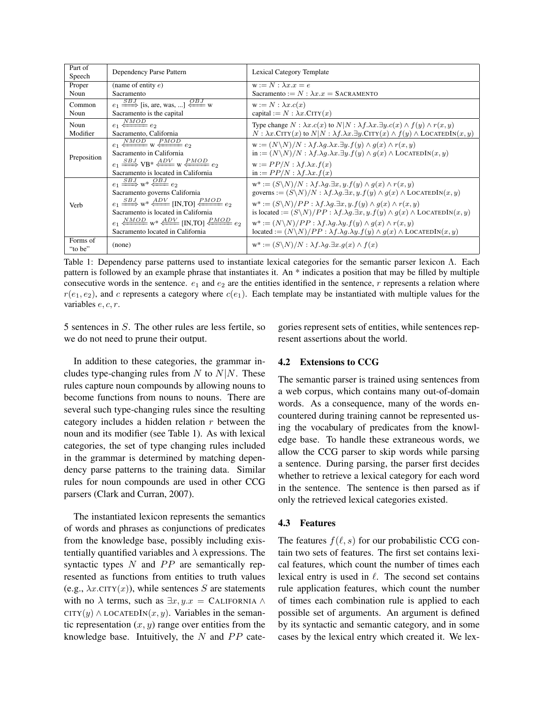| Part of             | Dependency Parse Pattern                                                                                                                                                                                                                                                                                                        | <b>Lexical Category Template</b>                                                                                                                                                                                                                                                                                                                                                                                                                                                                                                                                                                                                                                                        |  |
|---------------------|---------------------------------------------------------------------------------------------------------------------------------------------------------------------------------------------------------------------------------------------------------------------------------------------------------------------------------|-----------------------------------------------------------------------------------------------------------------------------------------------------------------------------------------------------------------------------------------------------------------------------------------------------------------------------------------------------------------------------------------------------------------------------------------------------------------------------------------------------------------------------------------------------------------------------------------------------------------------------------------------------------------------------------------|--|
| Speech              |                                                                                                                                                                                                                                                                                                                                 |                                                                                                                                                                                                                                                                                                                                                                                                                                                                                                                                                                                                                                                                                         |  |
| Proper              | (name of entity $e$ )                                                                                                                                                                                                                                                                                                           | $w := N : \lambda x . x = e$                                                                                                                                                                                                                                                                                                                                                                                                                                                                                                                                                                                                                                                            |  |
| Noun                | Sacramento                                                                                                                                                                                                                                                                                                                      | Sacramento := $N : \lambda x.x =$ SACRAMENTO                                                                                                                                                                                                                                                                                                                                                                                                                                                                                                                                                                                                                                            |  |
| Common              | $e_1 \xrightarrow{SBJ}$ [is, are, was, ] $\xleftarrow{OBJ}$ w                                                                                                                                                                                                                                                                   | $w := N : \lambda x . c(x)$                                                                                                                                                                                                                                                                                                                                                                                                                                                                                                                                                                                                                                                             |  |
| Noun                | Sacramento is the capital                                                                                                                                                                                                                                                                                                       | capital := $N : \lambda x$ . CITY $(x)$                                                                                                                                                                                                                                                                                                                                                                                                                                                                                                                                                                                                                                                 |  |
| Noun                | $e_1 \xleftarrow{NMOD} e_2$                                                                                                                                                                                                                                                                                                     | Type change $N : \lambda x . c(x)$ to $N \mid N : \lambda f. \lambda x . \exists y . c(x) \wedge f(y) \wedge r(x, y)$                                                                                                                                                                                                                                                                                                                                                                                                                                                                                                                                                                   |  |
| Modifier            | Sacramento, California                                                                                                                                                                                                                                                                                                          | $N : \lambda x$ . CITY(x) to $N \mid N : \lambda f. \lambda x. \exists y$ . CITY(x) $\wedge f(y) \wedge$ LOCATEDIN(x, y)                                                                                                                                                                                                                                                                                                                                                                                                                                                                                                                                                                |  |
| Preposition         | $e_1 \xleftarrow{NMOD}$ w $\xleftarrow{PMOD} e_2$<br>Sacramento in California<br>$e_1 \xrightarrow{SBJ} \text{VB}^* \xleftarrow{ADV} \text{W} \xleftarrow{PMOD} e_2$<br>Sacramento is located in California                                                                                                                     | $\mathbf{w} := (N \backslash N) / N : \lambda f. \lambda q. \lambda x. \exists y. f(y) \wedge q(x) \wedge r(x, y)$<br>$\text{in} := (N \backslash N) / N : \lambda f. \lambda q. \lambda x. \exists y. f(y) \wedge q(x) \wedge \text{LOCALEDIN}(x, y)$<br>$w := PP/N : \lambda f. \lambda x. f(x)$<br>in := $PP/N$ : $\lambda f. \lambda x. f(x)$                                                                                                                                                                                                                                                                                                                                       |  |
| Verb                | $e_1 \xrightarrow{SBJ} w^* \xleftarrow{OBJ} e_2$<br>Sacramento governs California<br>$e_1 \xrightarrow{SBJ} w^* \xleftarrow{ADV}$ [IN.TO] $\xleftarrow{PMOD} e_2$<br>Sacramento is located in California<br>$e_1 \xrightarrow{NMOD} w^* \xrightarrow{ADV}$ [IN.TO] $\xrightarrow{PMOD} e_2$<br>Sacramento located in California | $\mathbf{w}^* := (S \backslash N) / N : \lambda f. \lambda q. \exists x, y. f(y) \wedge q(x) \wedge r(x, y)$<br>governs := $(S\backslash N)/N$ : $\lambda f.\lambda g.\exists x, y. f(y) \wedge g(x) \wedge$ LOCATEDIN $(x, y)$<br>$\mathbf{w}^* := (S \backslash N)/PP : \lambda f. \lambda q. \exists x, y. f(y) \wedge q(x) \wedge r(x, y)$<br>is located := $(S\backslash N)/PP$ : $\lambda f.\lambda g.\exists x, y.f(y) \wedge g(x) \wedge$ LOCATEDIN $(x, y)$<br>$w^* := (N \backslash N)/PP : \lambda f. \lambda q. \lambda y. f(y) \wedge q(x) \wedge r(x, y)$<br>located := $(N\backslash N)/PP$ : $\lambda f.\lambda g.\lambda y.f(y) \wedge g(x) \wedge$ LOCATEDIN $(x, y)$ |  |
| Forms of<br>"to be" | (none)                                                                                                                                                                                                                                                                                                                          | $\mathbf{w}^* := (S \backslash N) / N : \lambda f. \lambda q. \exists x. q(x) \wedge f(x)$                                                                                                                                                                                                                                                                                                                                                                                                                                                                                                                                                                                              |  |

Table 1: Dependency parse patterns used to instantiate lexical categories for the semantic parser lexicon Λ. Each pattern is followed by an example phrase that instantiates it. An \* indicates a position that may be filled by multiple consecutive words in the sentence.  $e_1$  and  $e_2$  are the entities identified in the sentence, r represents a relation where  $r(e_1, e_2)$ , and c represents a category where  $c(e_1)$ . Each template may be instantiated with multiple values for the variables e, c, r.

5 sentences in S. The other rules are less fertile, so we do not need to prune their output.

In addition to these categories, the grammar includes type-changing rules from  $N$  to  $N|N$ . These rules capture noun compounds by allowing nouns to become functions from nouns to nouns. There are several such type-changing rules since the resulting category includes a hidden relation r between the noun and its modifier (see Table 1). As with lexical categories, the set of type changing rules included in the grammar is determined by matching dependency parse patterns to the training data. Similar rules for noun compounds are used in other CCG parsers (Clark and Curran, 2007).

The instantiated lexicon represents the semantics of words and phrases as conjunctions of predicates from the knowledge base, possibly including existentially quantified variables and  $\lambda$  expressions. The syntactic types  $N$  and  $PP$  are semantically represented as functions from entities to truth values (e.g.,  $\lambda x$ .CITY(x)), while sentences S are statements with no  $\lambda$  terms, such as  $\exists x, y.x =$  CALIFORNIA  $\wedge$ CITY(y)  $\wedge$  LOCATEDIN(x, y). Variables in the semantic representation  $(x, y)$  range over entities from the knowledge base. Intuitively, the  $N$  and  $PP$  categories represent sets of entities, while sentences represent assertions about the world.

## 4.2 Extensions to CCG

The semantic parser is trained using sentences from a web corpus, which contains many out-of-domain words. As a consequence, many of the words encountered during training cannot be represented using the vocabulary of predicates from the knowledge base. To handle these extraneous words, we allow the CCG parser to skip words while parsing a sentence. During parsing, the parser first decides whether to retrieve a lexical category for each word in the sentence. The sentence is then parsed as if only the retrieved lexical categories existed.

## 4.3 Features

The features  $f(\ell, s)$  for our probabilistic CCG contain two sets of features. The first set contains lexical features, which count the number of times each lexical entry is used in  $\ell$ . The second set contains rule application features, which count the number of times each combination rule is applied to each possible set of arguments. An argument is defined by its syntactic and semantic category, and in some cases by the lexical entry which created it. We lex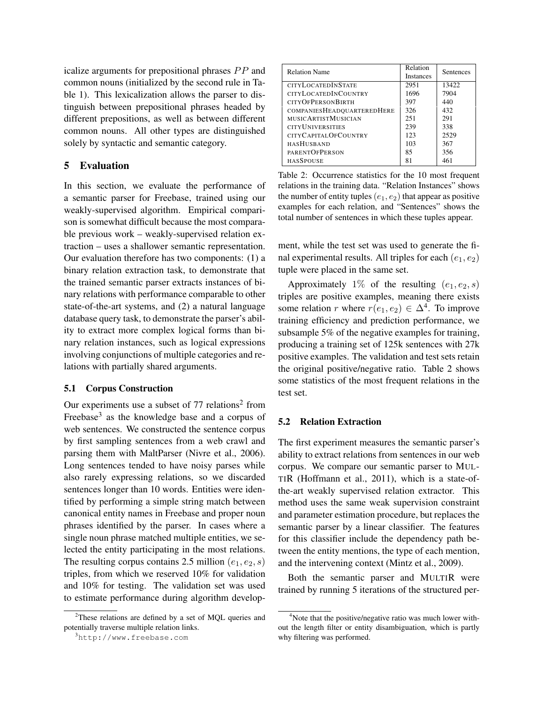icalize arguments for prepositional phrases  $PP$  and common nouns (initialized by the second rule in Table 1). This lexicalization allows the parser to distinguish between prepositional phrases headed by different prepositions, as well as between different common nouns. All other types are distinguished solely by syntactic and semantic category.

## 5 Evaluation

In this section, we evaluate the performance of a semantic parser for Freebase, trained using our weakly-supervised algorithm. Empirical comparison is somewhat difficult because the most comparable previous work – weakly-supervised relation extraction – uses a shallower semantic representation. Our evaluation therefore has two components: (1) a binary relation extraction task, to demonstrate that the trained semantic parser extracts instances of binary relations with performance comparable to other state-of-the-art systems, and (2) a natural language database query task, to demonstrate the parser's ability to extract more complex logical forms than binary relation instances, such as logical expressions involving conjunctions of multiple categories and relations with partially shared arguments.

#### 5.1 Corpus Construction

Our experiments use a subset of  $77$  relations<sup>2</sup> from Freebase<sup>3</sup> as the knowledge base and a corpus of web sentences. We constructed the sentence corpus by first sampling sentences from a web crawl and parsing them with MaltParser (Nivre et al., 2006). Long sentences tended to have noisy parses while also rarely expressing relations, so we discarded sentences longer than 10 words. Entities were identified by performing a simple string match between canonical entity names in Freebase and proper noun phrases identified by the parser. In cases where a single noun phrase matched multiple entities, we selected the entity participating in the most relations. The resulting corpus contains 2.5 million  $(e_1, e_2, s)$ triples, from which we reserved 10% for validation and 10% for testing. The validation set was used to estimate performance during algorithm develop-

| <b>Relation Name</b>        | Relation<br><b>Instances</b> | <b>Sentences</b> |
|-----------------------------|------------------------------|------------------|
| <b>CITYLOCATEDINSTATE</b>   | 2951                         | 13422            |
|                             |                              |                  |
| <b>CITYLOCATEDINCOUNTRY</b> | 1696                         | 7904             |
| <b>CITYOFPERSONBIRTH</b>    | 397                          | 440              |
| COMPANIESHEADQUARTEREDHERE  | 326                          | 432              |
| <b>MUSICARTISTMUSICIAN</b>  | 251                          | 291              |
| <b>CITYUNIVERSITIES</b>     | 239                          | 338              |
| CITYCAPITALOFCOUNTRY        | 123                          | 2529             |
| <b>HASHUSBAND</b>           | 103                          | 367              |
| <b>PARENTOFPERSON</b>       | 85                           | 356              |
| <b>HASSPOUSE</b>            | 81                           | 461              |

Table 2: Occurrence statistics for the 10 most frequent relations in the training data. "Relation Instances" shows the number of entity tuples  $(e_1, e_2)$  that appear as positive examples for each relation, and "Sentences" shows the total number of sentences in which these tuples appear.

ment, while the test set was used to generate the final experimental results. All triples for each  $(e_1, e_2)$ tuple were placed in the same set.

Approximately 1% of the resulting  $(e_1, e_2, s)$ triples are positive examples, meaning there exists some relation r where  $r(e_1, e_2) \in \Delta^4$ . To improve training efficiency and prediction performance, we subsample 5% of the negative examples for training, producing a training set of 125k sentences with 27k positive examples. The validation and test sets retain the original positive/negative ratio. Table 2 shows some statistics of the most frequent relations in the test set.

### 5.2 Relation Extraction

The first experiment measures the semantic parser's ability to extract relations from sentences in our web corpus. We compare our semantic parser to MUL-TIR (Hoffmann et al., 2011), which is a state-ofthe-art weakly supervised relation extractor. This method uses the same weak supervision constraint and parameter estimation procedure, but replaces the semantic parser by a linear classifier. The features for this classifier include the dependency path between the entity mentions, the type of each mention, and the intervening context (Mintz et al., 2009).

Both the semantic parser and MULTIR were trained by running 5 iterations of the structured per-

 $2$ These relations are defined by a set of MOL queries and potentially traverse multiple relation links.

<sup>3</sup>http://www.freebase.com

<sup>&</sup>lt;sup>4</sup>Note that the positive/negative ratio was much lower without the length filter or entity disambiguation, which is partly why filtering was performed.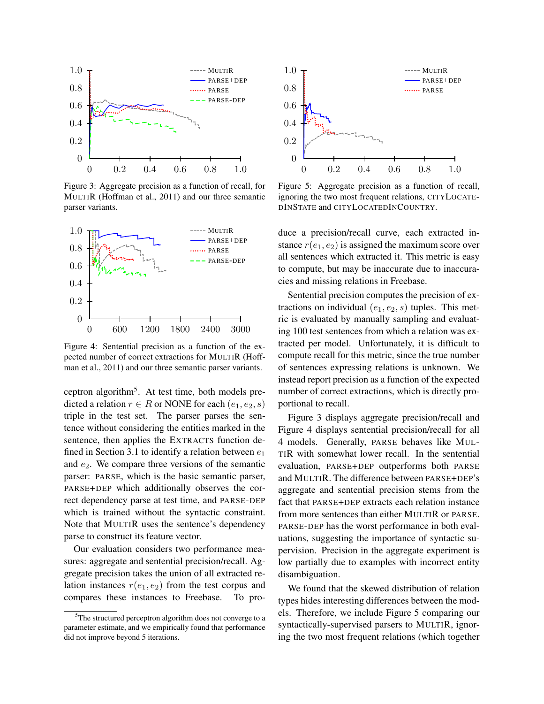

Figure 3: Aggregate precision as a function of recall, for MULTIR (Hoffman et al., 2011) and our three semantic parser variants.



Figure 4: Sentential precision as a function of the expected number of correct extractions for MULTIR (Hoffman et al., 2011) and our three semantic parser variants.

ceptron algorithm<sup>5</sup>. At test time, both models predicted a relation  $r \in R$  or NONE for each  $(e_1, e_2, s)$ triple in the test set. The parser parses the sentence without considering the entities marked in the sentence, then applies the EXTRACTS function defined in Section 3.1 to identify a relation between  $e_1$ and  $e_2$ . We compare three versions of the semantic parser: PARSE, which is the basic semantic parser, PARSE+DEP which additionally observes the correct dependency parse at test time, and PARSE-DEP which is trained without the syntactic constraint. Note that MULTIR uses the sentence's dependency parse to construct its feature vector.

Our evaluation considers two performance measures: aggregate and sentential precision/recall. Aggregate precision takes the union of all extracted relation instances  $r(e_1, e_2)$  from the test corpus and compares these instances to Freebase. To pro-



Figure 5: Aggregate precision as a function of recall, ignoring the two most frequent relations, CITYLOCATE-DINSTATE and CITYLOCATEDINCOUNTRY.

duce a precision/recall curve, each extracted instance  $r(e_1, e_2)$  is assigned the maximum score over all sentences which extracted it. This metric is easy to compute, but may be inaccurate due to inaccuracies and missing relations in Freebase.

Sentential precision computes the precision of extractions on individual  $(e_1, e_2, s)$  tuples. This metric is evaluated by manually sampling and evaluating 100 test sentences from which a relation was extracted per model. Unfortunately, it is difficult to compute recall for this metric, since the true number of sentences expressing relations is unknown. We instead report precision as a function of the expected number of correct extractions, which is directly proportional to recall.

Figure 3 displays aggregate precision/recall and Figure 4 displays sentential precision/recall for all 4 models. Generally, PARSE behaves like MUL-TIR with somewhat lower recall. In the sentential evaluation, PARSE+DEP outperforms both PARSE and MULTIR. The difference between PARSE+DEP's aggregate and sentential precision stems from the fact that PARSE+DEP extracts each relation instance from more sentences than either MULTIR or PARSE. PARSE-DEP has the worst performance in both evaluations, suggesting the importance of syntactic supervision. Precision in the aggregate experiment is low partially due to examples with incorrect entity disambiguation.

We found that the skewed distribution of relation types hides interesting differences between the models. Therefore, we include Figure 5 comparing our syntactically-supervised parsers to MULTIR, ignoring the two most frequent relations (which together

<sup>&</sup>lt;sup>5</sup>The structured perceptron algorithm does not converge to a parameter estimate, and we empirically found that performance did not improve beyond 5 iterations.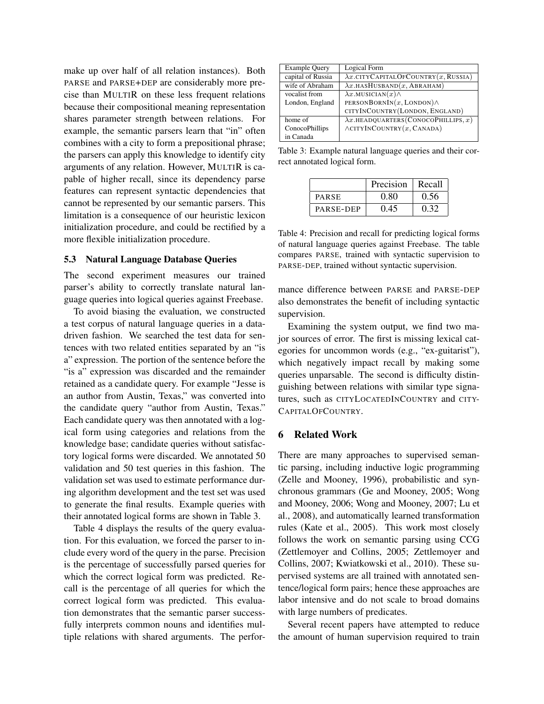make up over half of all relation instances). Both PARSE and PARSE+DEP are considerably more precise than MULTIR on these less frequent relations because their compositional meaning representation shares parameter strength between relations. For example, the semantic parsers learn that "in" often combines with a city to form a prepositional phrase; the parsers can apply this knowledge to identify city arguments of any relation. However, MULTIR is capable of higher recall, since its dependency parse features can represent syntactic dependencies that cannot be represented by our semantic parsers. This limitation is a consequence of our heuristic lexicon initialization procedure, and could be rectified by a more flexible initialization procedure.

### 5.3 Natural Language Database Queries

The second experiment measures our trained parser's ability to correctly translate natural language queries into logical queries against Freebase.

To avoid biasing the evaluation, we constructed a test corpus of natural language queries in a datadriven fashion. We searched the test data for sentences with two related entities separated by an "is a" expression. The portion of the sentence before the "is a" expression was discarded and the remainder retained as a candidate query. For example "Jesse is an author from Austin, Texas," was converted into the candidate query "author from Austin, Texas." Each candidate query was then annotated with a logical form using categories and relations from the knowledge base; candidate queries without satisfactory logical forms were discarded. We annotated 50 validation and 50 test queries in this fashion. The validation set was used to estimate performance during algorithm development and the test set was used to generate the final results. Example queries with their annotated logical forms are shown in Table 3.

Table 4 displays the results of the query evaluation. For this evaluation, we forced the parser to include every word of the query in the parse. Precision is the percentage of successfully parsed queries for which the correct logical form was predicted. Recall is the percentage of all queries for which the correct logical form was predicted. This evaluation demonstrates that the semantic parser successfully interprets common nouns and identifies multiple relations with shared arguments. The perfor-

| <b>Example Query</b> | Logical Form                                           |
|----------------------|--------------------------------------------------------|
| capital of Russia    | $\lambda x$ .CITYCAPITALOFCOUNTRY $(x, \text{RussIA})$ |
| wife of Abraham      | $\lambda x$ .HASHUSBAND $(x,$ ABRAHAM)                 |
| vocalist from        | $\lambda x$ . MUSICIAN $(x)$                           |
| London, England      | PERSONBORNIN $(x,$ LONDON $)$                          |
|                      | CITYINCOUNTRY(LONDON, ENGLAND)                         |
| home of              | $\lambda x$ .HEADQUARTERS(CONOCOPHILLIPS, x)           |
| ConocoPhillips       | $\wedge$ CITYINCOUNTRY $(x,$ CANADA)                   |
| in Canada            |                                                        |

Table 3: Example natural language queries and their correct annotated logical form.

|              | Precision | Recall |
|--------------|-----------|--------|
| <b>PARSE</b> | 0.80      | 0.56   |
| PARSE-DEP    | 0.45      | 0.32   |

Table 4: Precision and recall for predicting logical forms of natural language queries against Freebase. The table compares PARSE, trained with syntactic supervision to PARSE-DEP, trained without syntactic supervision.

mance difference between PARSE and PARSE-DEP also demonstrates the benefit of including syntactic supervision.

Examining the system output, we find two major sources of error. The first is missing lexical categories for uncommon words (e.g., "ex-guitarist"), which negatively impact recall by making some queries unparsable. The second is difficulty distinguishing between relations with similar type signatures, such as CITYLOCATEDINCOUNTRY and CITY-CAPITALOFCOUNTRY.

## 6 Related Work

There are many approaches to supervised semantic parsing, including inductive logic programming (Zelle and Mooney, 1996), probabilistic and synchronous grammars (Ge and Mooney, 2005; Wong and Mooney, 2006; Wong and Mooney, 2007; Lu et al., 2008), and automatically learned transformation rules (Kate et al., 2005). This work most closely follows the work on semantic parsing using CCG (Zettlemoyer and Collins, 2005; Zettlemoyer and Collins, 2007; Kwiatkowski et al., 2010). These supervised systems are all trained with annotated sentence/logical form pairs; hence these approaches are labor intensive and do not scale to broad domains with large numbers of predicates.

Several recent papers have attempted to reduce the amount of human supervision required to train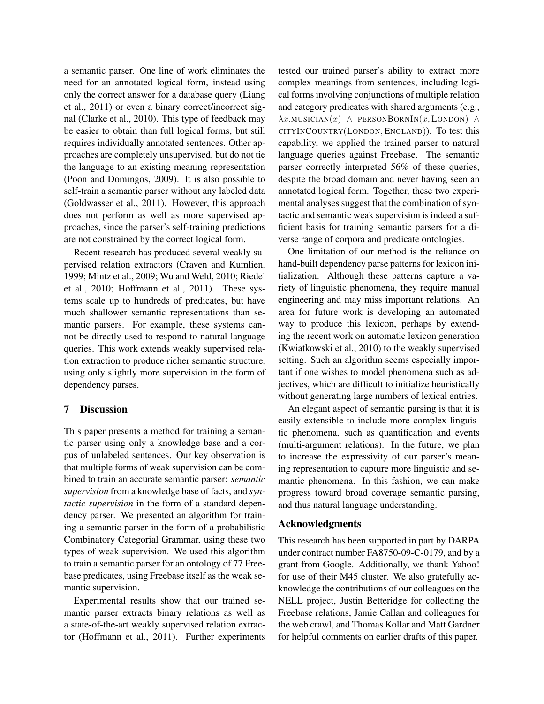a semantic parser. One line of work eliminates the need for an annotated logical form, instead using only the correct answer for a database query (Liang et al., 2011) or even a binary correct/incorrect signal (Clarke et al., 2010). This type of feedback may be easier to obtain than full logical forms, but still requires individually annotated sentences. Other approaches are completely unsupervised, but do not tie the language to an existing meaning representation (Poon and Domingos, 2009). It is also possible to self-train a semantic parser without any labeled data (Goldwasser et al., 2011). However, this approach does not perform as well as more supervised approaches, since the parser's self-training predictions are not constrained by the correct logical form.

Recent research has produced several weakly supervised relation extractors (Craven and Kumlien, 1999; Mintz et al., 2009; Wu and Weld, 2010; Riedel et al., 2010; Hoffmann et al., 2011). These systems scale up to hundreds of predicates, but have much shallower semantic representations than semantic parsers. For example, these systems cannot be directly used to respond to natural language queries. This work extends weakly supervised relation extraction to produce richer semantic structure, using only slightly more supervision in the form of dependency parses.

## 7 Discussion

This paper presents a method for training a semantic parser using only a knowledge base and a corpus of unlabeled sentences. Our key observation is that multiple forms of weak supervision can be combined to train an accurate semantic parser: *semantic supervision* from a knowledge base of facts, and *syntactic supervision* in the form of a standard dependency parser. We presented an algorithm for training a semantic parser in the form of a probabilistic Combinatory Categorial Grammar, using these two types of weak supervision. We used this algorithm to train a semantic parser for an ontology of 77 Freebase predicates, using Freebase itself as the weak semantic supervision.

Experimental results show that our trained semantic parser extracts binary relations as well as a state-of-the-art weakly supervised relation extractor (Hoffmann et al., 2011). Further experiments tested our trained parser's ability to extract more complex meanings from sentences, including logical forms involving conjunctions of multiple relation and category predicates with shared arguments (e.g.,  $\lambda x.MUSICIAN(x)$  ∧ PERSONBORNIN(x, LONDON) ∧ CITYINCOUNTRY(LONDON, ENGLAND)). To test this capability, we applied the trained parser to natural language queries against Freebase. The semantic parser correctly interpreted 56% of these queries, despite the broad domain and never having seen an annotated logical form. Together, these two experimental analyses suggest that the combination of syntactic and semantic weak supervision is indeed a sufficient basis for training semantic parsers for a diverse range of corpora and predicate ontologies.

One limitation of our method is the reliance on hand-built dependency parse patterns for lexicon initialization. Although these patterns capture a variety of linguistic phenomena, they require manual engineering and may miss important relations. An area for future work is developing an automated way to produce this lexicon, perhaps by extending the recent work on automatic lexicon generation (Kwiatkowski et al., 2010) to the weakly supervised setting. Such an algorithm seems especially important if one wishes to model phenomena such as adjectives, which are difficult to initialize heuristically without generating large numbers of lexical entries.

An elegant aspect of semantic parsing is that it is easily extensible to include more complex linguistic phenomena, such as quantification and events (multi-argument relations). In the future, we plan to increase the expressivity of our parser's meaning representation to capture more linguistic and semantic phenomena. In this fashion, we can make progress toward broad coverage semantic parsing, and thus natural language understanding.

## Acknowledgments

This research has been supported in part by DARPA under contract number FA8750-09-C-0179, and by a grant from Google. Additionally, we thank Yahoo! for use of their M45 cluster. We also gratefully acknowledge the contributions of our colleagues on the NELL project, Justin Betteridge for collecting the Freebase relations, Jamie Callan and colleagues for the web crawl, and Thomas Kollar and Matt Gardner for helpful comments on earlier drafts of this paper.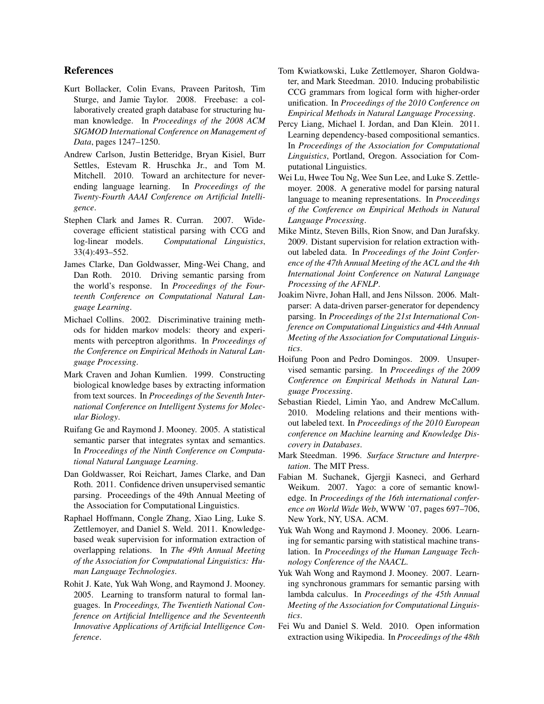## References

- Kurt Bollacker, Colin Evans, Praveen Paritosh, Tim Sturge, and Jamie Taylor. 2008. Freebase: a collaboratively created graph database for structuring human knowledge. In *Proceedings of the 2008 ACM SIGMOD International Conference on Management of Data*, pages 1247–1250.
- Andrew Carlson, Justin Betteridge, Bryan Kisiel, Burr Settles, Estevam R. Hruschka Jr., and Tom M. Mitchell. 2010. Toward an architecture for neverending language learning. In *Proceedings of the Twenty-Fourth AAAI Conference on Artificial Intelligence*.
- Stephen Clark and James R. Curran. 2007. Widecoverage efficient statistical parsing with CCG and log-linear models. *Computational Linguistics*, 33(4):493–552.
- James Clarke, Dan Goldwasser, Ming-Wei Chang, and Dan Roth. 2010. Driving semantic parsing from the world's response. In *Proceedings of the Fourteenth Conference on Computational Natural Language Learning*.
- Michael Collins. 2002. Discriminative training methods for hidden markov models: theory and experiments with perceptron algorithms. In *Proceedings of the Conference on Empirical Methods in Natural Language Processing*.
- Mark Craven and Johan Kumlien. 1999. Constructing biological knowledge bases by extracting information from text sources. In *Proceedings of the Seventh International Conference on Intelligent Systems for Molecular Biology*.
- Ruifang Ge and Raymond J. Mooney. 2005. A statistical semantic parser that integrates syntax and semantics. In *Proceedings of the Ninth Conference on Computational Natural Language Learning*.
- Dan Goldwasser, Roi Reichart, James Clarke, and Dan Roth. 2011. Confidence driven unsupervised semantic parsing. Proceedings of the 49th Annual Meeting of the Association for Computational Linguistics.
- Raphael Hoffmann, Congle Zhang, Xiao Ling, Luke S. Zettlemoyer, and Daniel S. Weld. 2011. Knowledgebased weak supervision for information extraction of overlapping relations. In *The 49th Annual Meeting of the Association for Computational Linguistics: Human Language Technologies*.
- Rohit J. Kate, Yuk Wah Wong, and Raymond J. Mooney. 2005. Learning to transform natural to formal languages. In *Proceedings, The Twentieth National Conference on Artificial Intelligence and the Seventeenth Innovative Applications of Artificial Intelligence Conference*.
- Tom Kwiatkowski, Luke Zettlemoyer, Sharon Goldwater, and Mark Steedman. 2010. Inducing probabilistic CCG grammars from logical form with higher-order unification. In *Proceedings of the 2010 Conference on Empirical Methods in Natural Language Processing*.
- Percy Liang, Michael I. Jordan, and Dan Klein. 2011. Learning dependency-based compositional semantics. In *Proceedings of the Association for Computational Linguistics*, Portland, Oregon. Association for Computational Linguistics.
- Wei Lu, Hwee Tou Ng, Wee Sun Lee, and Luke S. Zettlemoyer. 2008. A generative model for parsing natural language to meaning representations. In *Proceedings of the Conference on Empirical Methods in Natural Language Processing*.
- Mike Mintz, Steven Bills, Rion Snow, and Dan Jurafsky. 2009. Distant supervision for relation extraction without labeled data. In *Proceedings of the Joint Conference of the 47th Annual Meeting of the ACL and the 4th International Joint Conference on Natural Language Processing of the AFNLP*.
- Joakim Nivre, Johan Hall, and Jens Nilsson. 2006. Maltparser: A data-driven parser-generator for dependency parsing. In *Proceedings of the 21st International Conference on Computational Linguistics and 44th Annual Meeting of the Association for Computational Linguistics*.
- Hoifung Poon and Pedro Domingos. 2009. Unsupervised semantic parsing. In *Proceedings of the 2009 Conference on Empirical Methods in Natural Language Processing*.
- Sebastian Riedel, Limin Yao, and Andrew McCallum. 2010. Modeling relations and their mentions without labeled text. In *Proceedings of the 2010 European conference on Machine learning and Knowledge Discovery in Databases*.
- Mark Steedman. 1996. *Surface Structure and Interpretation*. The MIT Press.
- Fabian M. Suchanek, Gjergji Kasneci, and Gerhard Weikum. 2007. Yago: a core of semantic knowledge. In *Proceedings of the 16th international conference on World Wide Web*, WWW '07, pages 697–706, New York, NY, USA. ACM.
- Yuk Wah Wong and Raymond J. Mooney. 2006. Learning for semantic parsing with statistical machine translation. In *Proceedings of the Human Language Technology Conference of the NAACL*.
- Yuk Wah Wong and Raymond J. Mooney. 2007. Learning synchronous grammars for semantic parsing with lambda calculus. In *Proceedings of the 45th Annual Meeting of the Association for Computational Linguistics*.
- Fei Wu and Daniel S. Weld. 2010. Open information extraction using Wikipedia. In *Proceedings of the 48th*